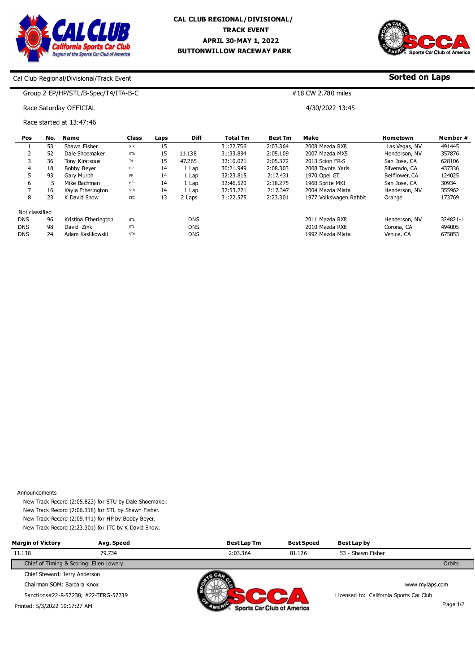



**Sorted on Laps**

#### Cal Club Regional/Divisional/Track Event

### Group 2 EP/HP/STL/B-Spec/T4/ITA-B-C

## Race Saturday OFFICIAL

Race started at 13:47:46

| Pos            | No. | Name                 | <b>Class</b> | Laps | <b>Diff</b> | <b>Total Tm</b> | <b>Best Tm</b> | Make                   | <b>Hometown</b> | Member#  |
|----------------|-----|----------------------|--------------|------|-------------|-----------------|----------------|------------------------|-----------------|----------|
|                | 53  | Shawn Fisher         | STL          | 15   |             | 31:22.756       | 2:03.364       | 2008 Mazda RX8         | Las Vegas, NV   | 491445   |
|                | 52  | Dale Shoemaker       | STU          | 15   | 11.138      | 31:33.894       | 2:05.109       | 2007 Mazda MX5         | Henderson, NV   | 357876   |
|                | 36  | Tony Kiratsous       | <b>T4</b>    | 15   | 47.265      | 32:10.021       | 2:05.372       | 2013 Scion FR-S        | San Jose, CA    | 628106   |
| 4              | 18  | <b>Bobby Bever</b>   | HP           | 14   | 1 Lap       | 30:21.949       | 2:08.303       | 2008 Tovota Yaris      | Silverado, CA   | 437336   |
|                | 93  | Gary Murph           | <b>FP</b>    | 14   | 1 Lap       | 32:23.815       | 2:17.431       | 1970 Opel GT           | Bellflower, CA  | 124025   |
| 6              |     | Mike Bachman         | <b>HP</b>    | 14   | 1 Lap       | 32:46.520       | 2:18.275       | 1960 Sprite MKI        | San Jose, CA    | 30934    |
|                | 16  | Kayla Etherington    | STU          | 14   | 1 Lap       | 32:53.221       | 2:17.347       | 2004 Mazda Miata       | Henderson, NV   | 355962   |
| 8              | 23  | K David Snow         | <b>ITC</b>   | 13   | 2 Laps      | 31:22.575       | 2:23.301       | 1977 Volkswagen Rabbit | Orange          | 173769   |
| Not classified |     |                      |              |      |             |                 |                |                        |                 |          |
| <b>DNS</b>     | 96  | Kristina Etherington | STL          |      | <b>DNS</b>  |                 |                | 2011 Mazda RX8         | Henderson, NV   | 324821-1 |
| <b>DNS</b>     | 98  | David Zink           | STL          |      | <b>DNS</b>  |                 |                | 2010 Mazda RX8         | Corona, CA      | 494005   |
| <b>DNS</b>     | 24  | Adam Kaslikowski     | STU          |      | <b>DNS</b>  |                 |                | 1992 Mazda Miata       | Venice, CA      | 675853   |

#18 CW 2.780 miles

4/30/2022 13:45

Announcements

New Track Record (2:05.823) for STU by Dale Shoemaker. New Track Record (2:06.318) for STL by Shawn Fisher. New Track Record (2:09.441) for HP by Bobby Beyer. New Track Record (2:23.301) for ITC by K David Snow.

| <b>Margin of Victory</b>                | Avg. Speed | <b>Best Lap Tm</b>                | <b>Best Speed</b> | Best Lap by                             |
|-----------------------------------------|------------|-----------------------------------|-------------------|-----------------------------------------|
| 11.138<br>79.734                        |            | 2:03.364                          | 81.126            | 53 - Shawn Fisher                       |
| Chief of Timing & Scoring: Ellen Lowery |            |                                   |                   | Orbits                                  |
| Chief Steward: Jerry Anderson           |            |                                   |                   |                                         |
| Chairman SOM: Barbara Knox              |            |                                   |                   | www.mylaps.com                          |
| Sanctions#22-R-57238; #22-TERG-57239    |            |                                   |                   | Licensed to: California Sports Car Club |
| Printed: 5/3/2022 10:17:27 AM           |            | <b>Sports Car Club of America</b> |                   | Page 1/2                                |